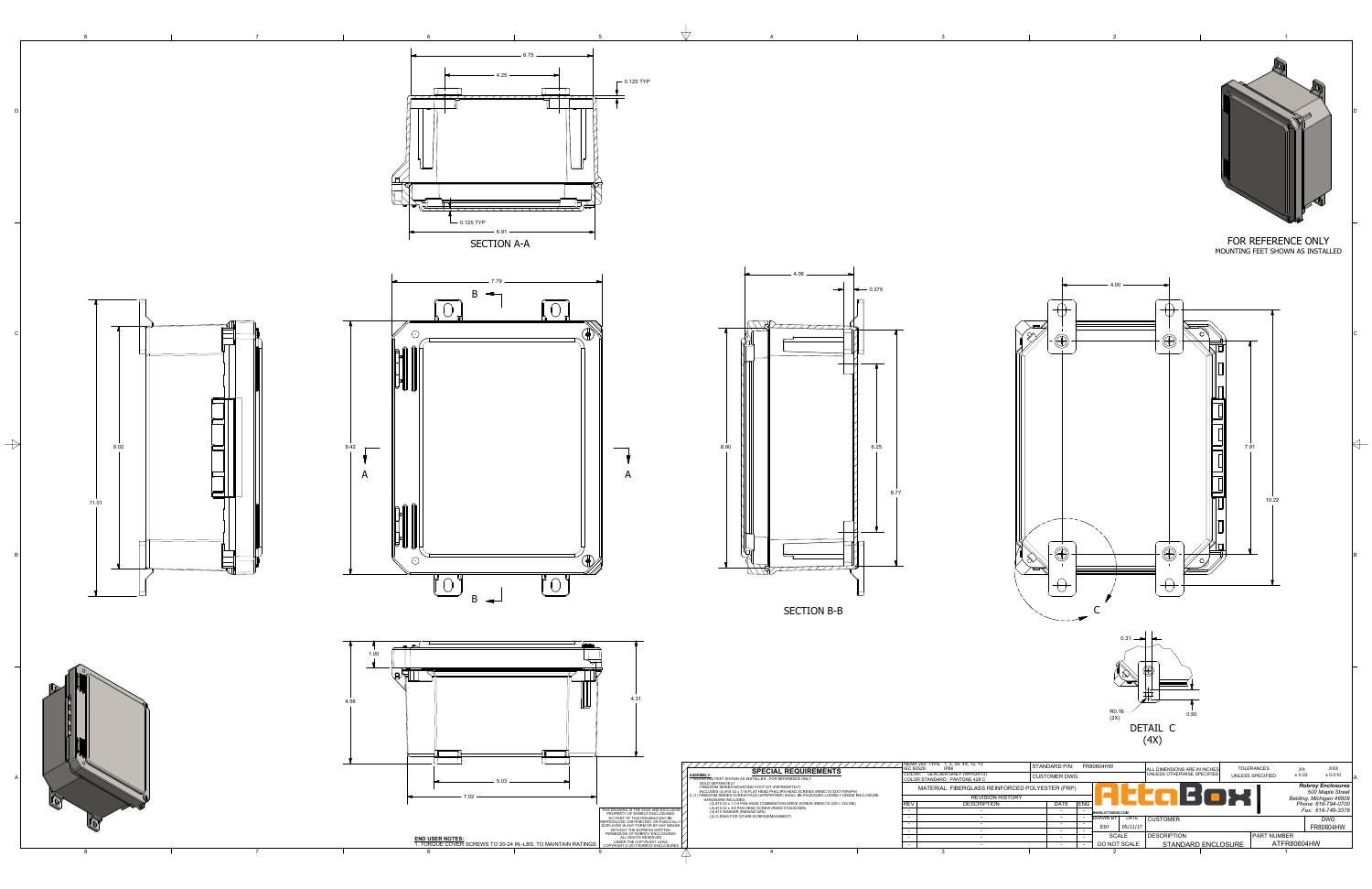